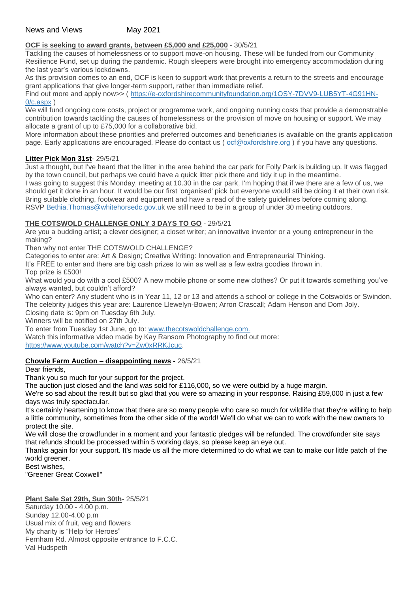## **OCF is seeking to award grants, between £5,000 and £25,000** - 30/5/21

Tackling the causes of homelessness or to support move-on housing. These will be funded from our Community Resilience Fund, set up during the pandemic. Rough sleepers were brought into emergency accommodation during the last year's various lockdowns.

As this provision comes to an end, OCF is keen to support work that prevents a return to the streets and encourage grant applications that give longer-term support, rather than immediate relief.

Find out more and apply now>> ( [https://e-oxfordshirecommunityfoundation.org/1OSY-7DVV9-LUB5YT-4G91HN-](https://e-oxfordshirecommunityfoundation.org/1OSY-7DVV9-LUB5YT-4G91HN-0/c.aspx)[0/c.aspx](https://e-oxfordshirecommunityfoundation.org/1OSY-7DVV9-LUB5YT-4G91HN-0/c.aspx) )

We will fund ongoing core costs, project or programme work, and ongoing running costs that provide a demonstrable contribution towards tackling the causes of homelessness or the provision of move on housing or support. We may allocate a grant of up to £75,000 for a collaborative bid.

More information about these priorities and preferred outcomes and beneficiaries is available on the grants application page. Early applications are encouraged. Please do contact us ( [ocf@oxfordshire.org](mailto:ocf@oxfordshire.org) ) if you have any questions.

# **Litter Pick Mon 31st**- 29/5/21

Just a thought, but I've heard that the litter in the area behind the car park for Folly Park is building up. It was flagged by the town council, but perhaps we could have a quick litter pick there and tidy it up in the meantime.

I was going to suggest this Monday, meeting at 10.30 in the car park, I'm hoping that if we there are a few of us, we should get it done in an hour. It would be our first 'organised' pick but everyone would still be doing it at their own risk. Bring suitable clothing, footwear and equipment and have a read of the safety guidelines before coming along. RSVP [Bethia.Thomas@whitehorsedc.gov.uk](mailto:Bethia%20Thomas%20%3CBethia.Thomas@whitehorsedc.gov.uk%3E) we still need to be in a group of under 30 meeting outdoors.

# **THE COTSWOLD CHALLENGE ONLY 3 DAYS TO GO** - 29/5/21

Are you a budding artist; a clever designer; a closet writer; an innovative inventor or a young entrepreneur in the making?

Then why not enter THE COTSWOLD CHALLENGE?

Categories to enter are: Art & Design; Creative Writing: Innovation and Entrepreneurial Thinking.

It's FREE to enter and there are big cash prizes to win as well as a few extra goodies thrown in.

Top prize is £500!

What would you do with a cool £500? A new mobile phone or some new clothes? Or put it towards something you've always wanted, but couldn't afford?

Who can enter? Any student who is in Year 11, 12 or 13 and attends a school or college in the Cotswolds or Swindon. The celebrity judges this year are: Laurence Llewelyn-Bowen; Arron Crascall; Adam Henson and Dom Joly. Closing date is: 9pm on Tuesday 6th July.

Winners will be notified on 27th July.

To enter from Tuesday 1st June, go to: [www.thecotswoldchallenge.com.](https://l.facebook.com/l.php?u=http%3A%2F%2Fwww.thecotswoldchallenge.com%2F%3Ffbclid%3DIwAR2_hUfDAtWiq8rgsEMyA6LxVyuokEVHNKrSFNa7gT9f1j16NVKgQD_p85s&h=AT0D2Oo14pWY_loim0hkBlLH9c3j6MsR8-es9dRq7pYoarpy-9UX8YVkSxL0FLANOyU5sGTCRanC1fmRdgegkAPoJmej3STgf-Y8E2_U_KvWqom1fXAwAfjj2yAlgRKpZuMj&__tn__=-UK-R&c%5b0%5d=AT2XsB7snaJk8U07ffOSPfbmt5dQCGDWJG2EFjIUhOSFkmdcqfN4lKsmsAMz7jflRBMYrLzelcPh3NDDWzSjPc0sAlfO3HNEF2aN83aIIGjEsFTtGPd722Q7i8D-RvzUkYrLtP9ZNuVTundkdRGM0f3VWx0fGGCmD2EDXEO7a2w0bIRslYCiRxwdRcX2crnkpUSt_tNEt9JdZ1ntPA)

Watch this informative video made by Kay Ransom Photography to find out more: [https://www.youtube.com/watch?v=Zw0xRRKJcuc.](https://www.youtube.com/watch?v=Zw0xRRKJcuc&fbclid=IwAR2l7izaNjd_7-WKzDMA-ovomFb9DAGxjXnOv40twdz-5jVcR8GSobd-boA)

### **Chowle Farm Auction – disappointing news -** 26/5/21

Dear friends,

Thank you so much for your support for the project.

The auction just closed and the land was sold for £116,000, so we were outbid by a huge margin.

We're so sad about the result but so glad that you were so amazing in your response. Raising £59,000 in just a few days was truly spectacular.

It's certainly heartening to know that there are so many people who care so much for wildlife that they're willing to help a little community, sometimes from the other side of the world! We'll do what we can to work with the new owners to protect the site.

We will close the crowdfunder in a moment and your fantastic pledges will be refunded. The crowdfunder site says that refunds should be processed within 5 working days, so please keep an eye out.

Thanks again for your support. It's made us all the more determined to do what we can to make our little patch of the world greener.

Best wishes,

"Greener Great Coxwell"

## **Plant Sale Sat 29th, Sun 30th**- 25/5/21

Saturday 10.00 - 4.00 p.m. Sunday 12.00-4.00 p.m Usual mix of fruit, veg and flowers My charity is "Help for Heroes" Fernham Rd. Almost opposite entrance to F.C.C. Val Hudspeth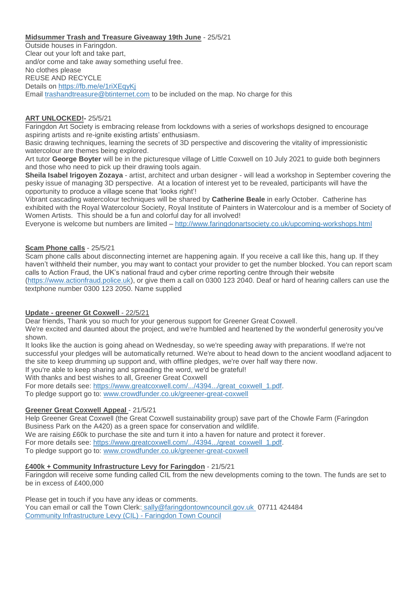### **Midsummer Trash and Treasure Giveaway 19th June** - 25/5/21

Outside houses in Faringdon. Clear out your loft and take part, and/or come and take away something useful free. No clothes please REUSE AND RECYCLE Details on <https://fb.me/e/1riXEqyKj> Email [trashandtreasure@btinternet.com](mailto:trashandtreasure@btinternet.com) to be included on the map. No charge for this

#### **ART UNLOCKED!-** 25/5/21

Faringdon Art Society is embracing release from lockdowns with a series of workshops designed to encourage aspiring artists and re-ignite existing artists' enthusiasm.

Basic drawing techniques, learning the secrets of 3D perspective and discovering the vitality of impressionistic watercolour are themes being explored.

Art tutor **George Boyter** will be in the picturesque village of Little Coxwell on 10 July 2021 to guide both beginners and those who need to pick up their drawing tools again.

**Sheila Isabel Irigoyen Zozaya** - artist, architect and urban designer - will lead a workshop in September covering the pesky issue of managing 3D perspective. At a location of interest yet to be revealed, participants will have the opportunity to produce a village scene that 'looks right'!

Vibrant cascading watercolour techniques will be shared by **Catherine Beale** in early October. Catherine has exhibited with the Royal Watercolour Society, Royal Institute of Painters in Watercolour and is a member of Society of Women Artists. This should be a fun and colorful day for all involved!

Everyone is welcome but numbers are limited – <http://www.faringdonartsociety.co.uk/upcoming-workshops.html>

#### **Scam Phone calls** - 25/5/21

Scam phone calls about disconnecting internet are happening again. If you receive a call like this, hang up. If they haven't withheld their number, you may want to contact your provider to get the number blocked. You can report scam calls to Action Fraud, the UK's national fraud and cyber crime reporting centre through their website [\(https://www.actionfraud.police.uk\)](https://www.actionfraud.police.uk/), or give them a call on 0300 123 2040. Deaf or hard of hearing callers can use the textphone number 0300 123 2050. Name supplied

### **Update - greener Gt Coxwell** - 22/5/21

Dear friends, Thank you so much for your generous support for Greener Great Coxwell.

We're excited and daunted about the project, and we're humbled and heartened by the wonderful generosity you've shown.

It looks like the auction is going ahead on Wednesday, so we're speeding away with preparations. If we're not successful your pledges will be automatically returned. We're about to head down to the ancient woodland adjacent to the site to keep drumming up support and, with offline pledges, we're over half way there now.

If you're able to keep sharing and spreading the word, we'd be grateful!

With thanks and best wishes to all, Greener Great Coxwell

For more details see: [https://www.greatcoxwell.com/.../4394.../great\\_coxwell\\_1.pdf.](https://www.greatcoxwell.com/uploads/4/3/9/4/43947647/great_coxwell_1.pdf?fbclid=IwAR08c-uIyULpSozuvmRGUJQ1XA2kRAANvjkkDfpzRJbNSTMgELXsr8Q2eeA)

To pledge support go to: [www.crowdfunder.co.uk/greener-great-coxwell](http://www.crowdfunder.co.uk/greener-great-coxwell?fbclid=IwAR29Y5WgaRq6TF1V2hvrdPWgbFdlP4lWf7CWWyaywK7l9jG6Lei1qbobfhc)

### **Greener Great Coxwell Appeal** - 21/5/21

Help Greener Great Coxwell (the Great Coxwell sustainability group) save part of the Chowle Farm (Faringdon Business Park on the A420) as a green space for conservation and wildlife. We are raising £60k to purchase the site and turn it into a haven for nature and protect it forever. For more details see: [https://www.greatcoxwell.com/.../4394.../great\\_coxwell\\_1.pdf.](https://www.greatcoxwell.com/uploads/4/3/9/4/43947647/great_coxwell_1.pdf?fbclid=IwAR08c-uIyULpSozuvmRGUJQ1XA2kRAANvjkkDfpzRJbNSTMgELXsr8Q2eeA) To pledge support go to: [www.crowdfunder.co.uk/greener-great-coxwell](http://www.crowdfunder.co.uk/greener-great-coxwell?fbclid=IwAR29Y5WgaRq6TF1V2hvrdPWgbFdlP4lWf7CWWyaywK7l9jG6Lei1qbobfhc)

### **£400k + Community Infrastructure Levy for Faringdon** - 21/5/21

Faringdon will receive some funding called CIL from the new developments coming to the town. The funds are set to be in excess of £400,000

Please get in touch if you have any ideas or comments. You can email or call the Town Clerk: [sally@faringdontowncouncil.gov.uk](mailto:%20sally@faringdontowncouncil.gov.uk) 07711 424484 [Community Infrastructure Levy \(CIL\) -](https://www.faringdontowncouncil.gov.uk/community-infrastructure-levy-cil/) Faringdon Town Council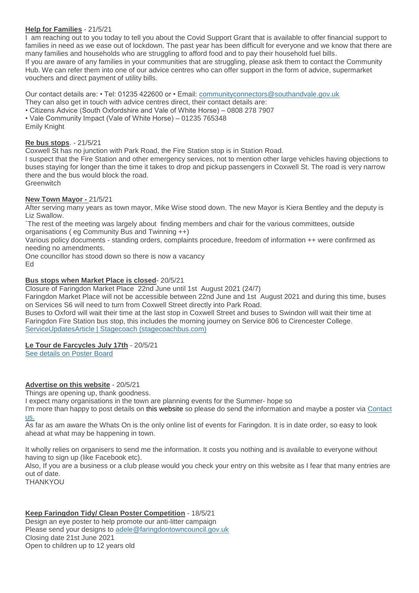### **Help for Families** - 21/5/21

I am reaching out to you today to tell you about the Covid Support Grant that is available to offer financial support to families in need as we ease out of lockdown. The past year has been difficult for everyone and we know that there are many families and households who are struggling to afford food and to pay their household fuel bills. If you are aware of any families in your communities that are struggling, please ask them to contact the Community Hub. We can refer them into one of our advice centres who can offer support in the form of advice, supermarket vouchers and direct payment of utility bills.

Our contact details are: • Tel: 01235 422600 or • Email: [communityconnectors@southandvale.gov.uk](mailto:communityconnectors@southandvale.gov.uk) They can also get in touch with advice centres direct, their contact details are:

- Citizens Advice (South Oxfordshire and Vale of White Horse) 0808 278 7907
- Vale Community Impact (Vale of White Horse) 01235 765348

Emily Knight

#### **Re bus stops**. - 21/5/21

Coxwell St has no junction with Park Road, the Fire Station stop is in Station Road.

I suspect that the Fire Station and other emergency services, not to mention other large vehicles having objections to buses staying for longer than the time it takes to drop and pickup passengers in Coxwell St. The road is very narrow there and the bus would block the road.

**Greenwitch** 

#### **New Town Mayor -** 21/5/21

After serving many years as town mayor, Mike Wise stood down. The new Mayor is Kiera Bentley and the deputy is Liz Swallow.

`The rest of the meeting was largely about finding members and chair for the various committees, outside organisations ( eg Community Bus and Twinning ++)

Various policy documents - standing orders, complaints procedure, freedom of information ++ were confirmed as needing no amendments.

One councillor has stood down so there is now a vacancy

Ed

#### **Bus stops when Market Place is closed**- 20/5/21

Closure of Faringdon Market Place 22nd June until 1st August 2021 (24/7)

Faringdon Market Place will not be accessible between 22nd June and 1st August 2021 and during this time, buses on Services S6 will need to turn from Coxwell Street directly into Park Road.

Buses to Oxford will wait their time at the last stop in Coxwell Street and buses to Swindon will wait their time at Faringdon Fire Station bus stop, this includes the morning journey on Service 806 to Cirencester College. [ServiceUpdatesArticle | Stagecoach \(stagecoachbus.com\)](https://www.stagecoachbus.com/service-updates/serviceupdatesarticle?SituationId=ID-17%2F05%2F2021-13%3A38%3A28%3A829&fbclid=IwAR3s3TBPEenskxGk7--oOavB_PQm9mYWpwsgjlVN7-MJB8qY8QWOnt5eByA)

### **Le Tour de Farcycles July 17th** - 20/5/21

[See details on Poster Board](http://weebly-link/267885977289169690)

### **Advertise on this website** - 20/5/21

Things are opening up, thank goodness.

I expect many organisations in the town are planning events for the Summer- hope so

I'm more than happy to post details on this website so please do send the information and maybe a poster via [Contact](http://weebly-link/100027806498849841)  [us.](http://weebly-link/100027806498849841)

As far as am aware the Whats On is the only online list of events for Faringdon. It is in date order, so easy to look ahead at what may be happening in town.

It wholly relies on organisers to send me the information. It costs you nothing and is available to everyone without having to sign up (like Facebook etc).

Also, If you are a business or a club please would you check your entry on this website as I fear that many entries are out of date.

THANKYOU

**Keep Faringdon Tidy/ Clean Poster Competition** - 18/5/21 Design an eye poster to help promote our anti-litter campaign Please send your designs to [adele@faringdontowncouncil.gov.uk](mailto:adele@faringdontowncouncil.gov.uk) Closing date 21st June 2021 Open to children up to 12 years old